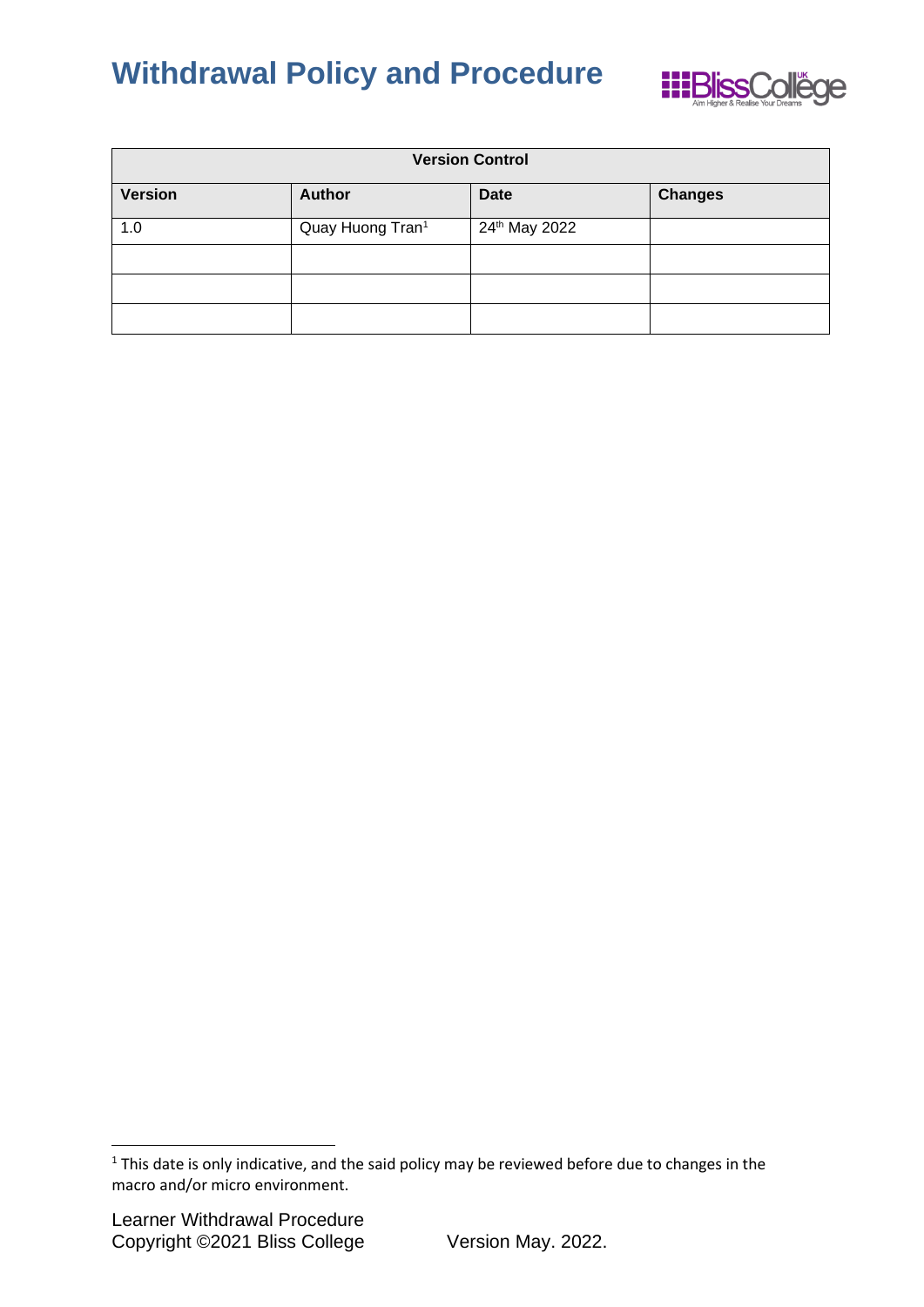

| <b>Version Control</b> |                              |               |                |  |
|------------------------|------------------------------|---------------|----------------|--|
| <b>Version</b>         | <b>Author</b>                | <b>Date</b>   | <b>Changes</b> |  |
| 1.0                    | Quay Huong Tran <sup>1</sup> | 24th May 2022 |                |  |
|                        |                              |               |                |  |
|                        |                              |               |                |  |
|                        |                              |               |                |  |

<sup>&</sup>lt;sup>1</sup> This date is only indicative, and the said policy may be reviewed before due to changes in the macro and/or micro environment.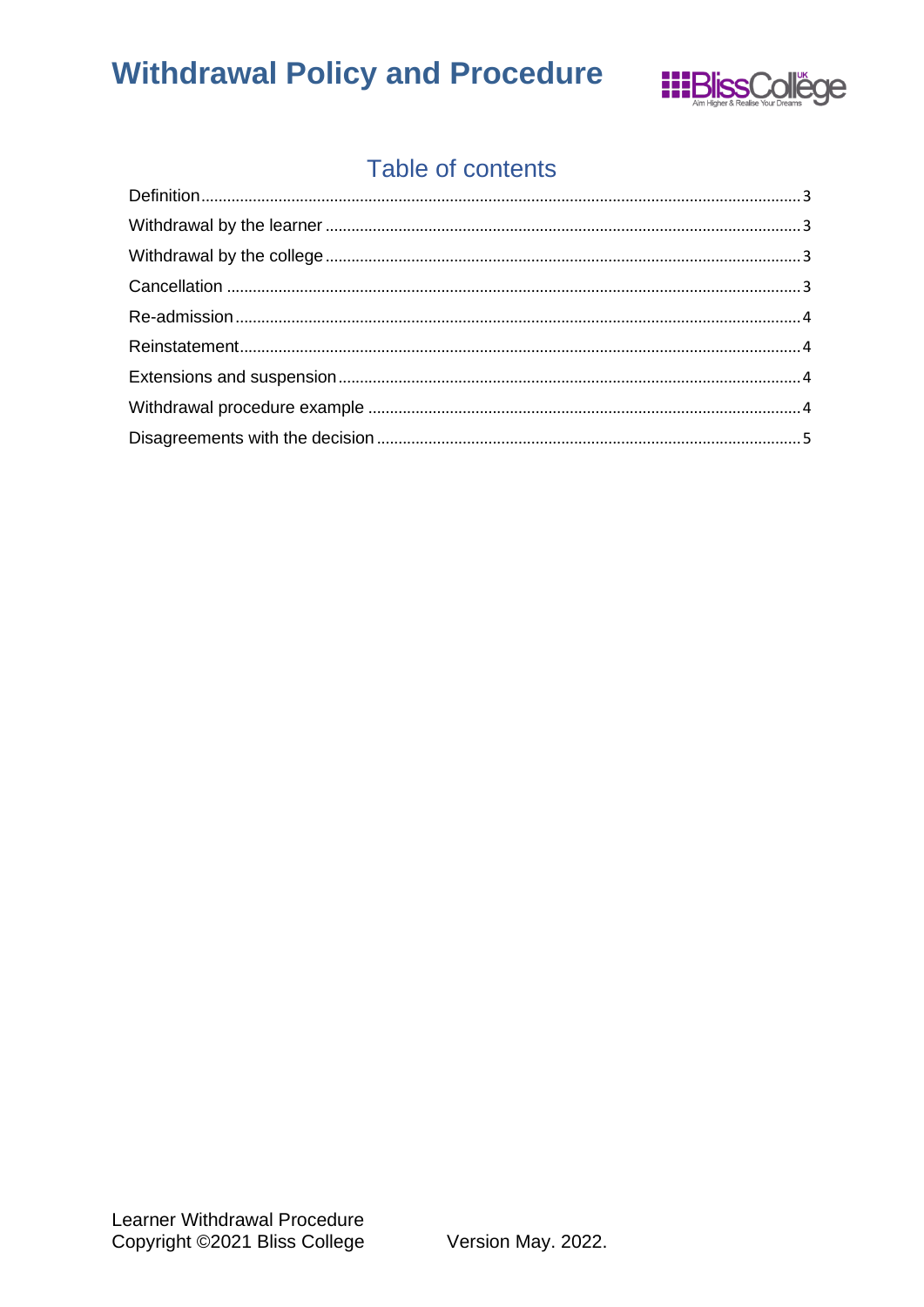

### Table of contents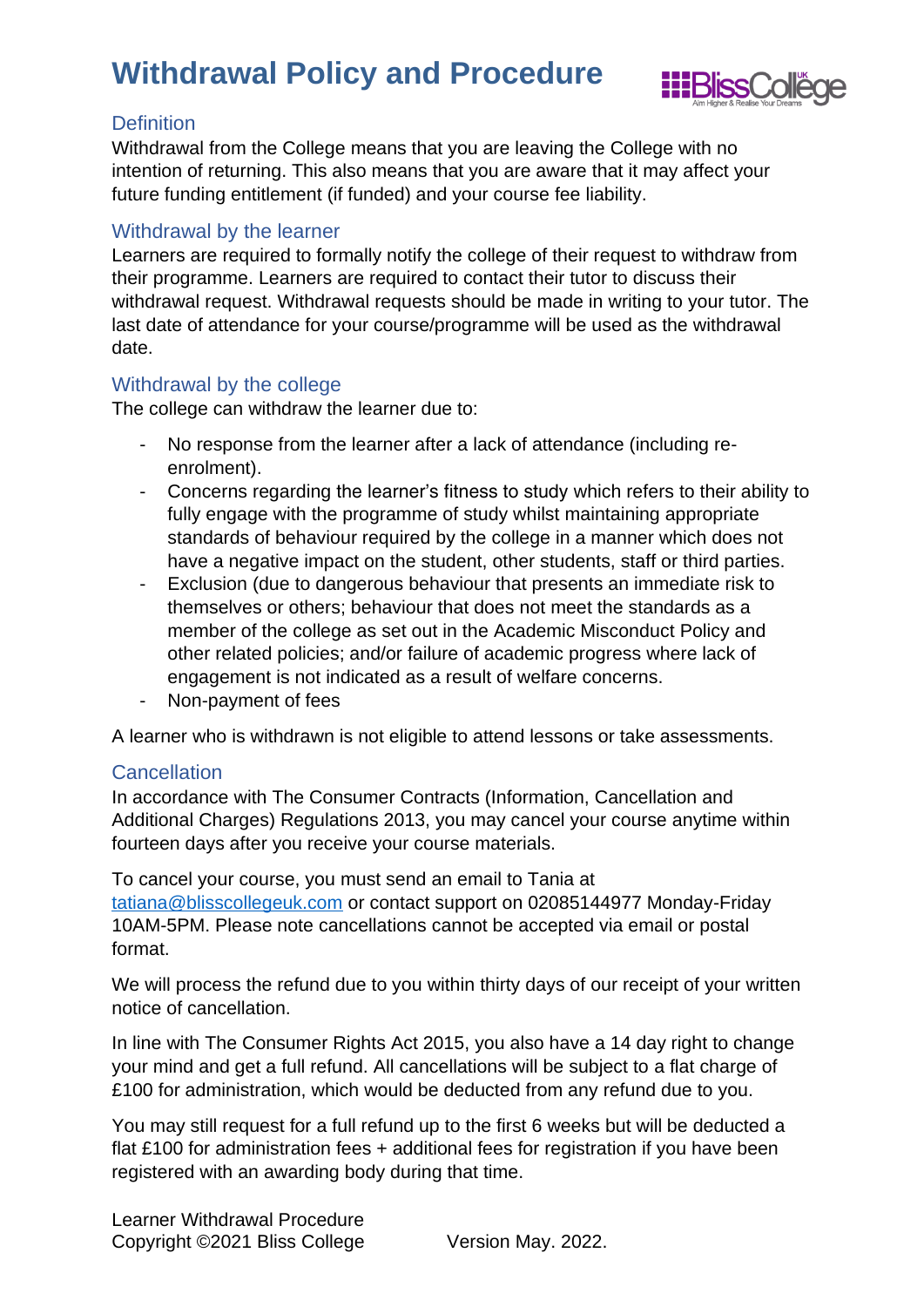

### <span id="page-2-0"></span>**Definition**

Withdrawal from the College means that you are leaving the College with no intention of returning. This also means that you are aware that it may affect your future funding entitlement (if funded) and your course fee liability.

### <span id="page-2-1"></span>Withdrawal by the learner

Learners are required to formally notify the college of their request to withdraw from their programme. Learners are required to contact their tutor to discuss their withdrawal request. Withdrawal requests should be made in writing to your tutor. The last date of attendance for your course/programme will be used as the withdrawal date.

### <span id="page-2-2"></span>Withdrawal by the college

The college can withdraw the learner due to:

- No response from the learner after a lack of attendance (including reenrolment).
- Concerns regarding the learner's fitness to study which refers to their ability to fully engage with the programme of study whilst maintaining appropriate standards of behaviour required by the college in a manner which does not have a negative impact on the student, other students, staff or third parties.
- Exclusion (due to dangerous behaviour that presents an immediate risk to themselves or others; behaviour that does not meet the standards as a member of the college as set out in the Academic Misconduct Policy and other related policies; and/or failure of academic progress where lack of engagement is not indicated as a result of welfare concerns.
- Non-payment of fees

A learner who is withdrawn is not eligible to attend lessons or take assessments.

#### <span id="page-2-3"></span>**Cancellation**

In accordance with The Consumer Contracts (Information, Cancellation and Additional Charges) Regulations 2013, you may cancel your course anytime within fourteen days after you receive your course materials.

To cancel your course, you must send an email to Tania at [tatiana@blisscollegeuk.com](mailto:tatiana@blisscollegeuk.com) or contact support on 02085144977 Monday-Friday 10AM-5PM. Please note cancellations cannot be accepted via email or postal format.

We will process the refund due to you within thirty days of our receipt of your written notice of cancellation.

In line with The Consumer Rights Act 2015, you also have a 14 day right to change your mind and get a full refund. All cancellations will be subject to a flat charge of £100 for administration, which would be deducted from any refund due to you.

You may still request for a full refund up to the first 6 weeks but will be deducted a flat £100 for administration fees + additional fees for registration if you have been registered with an awarding body during that time.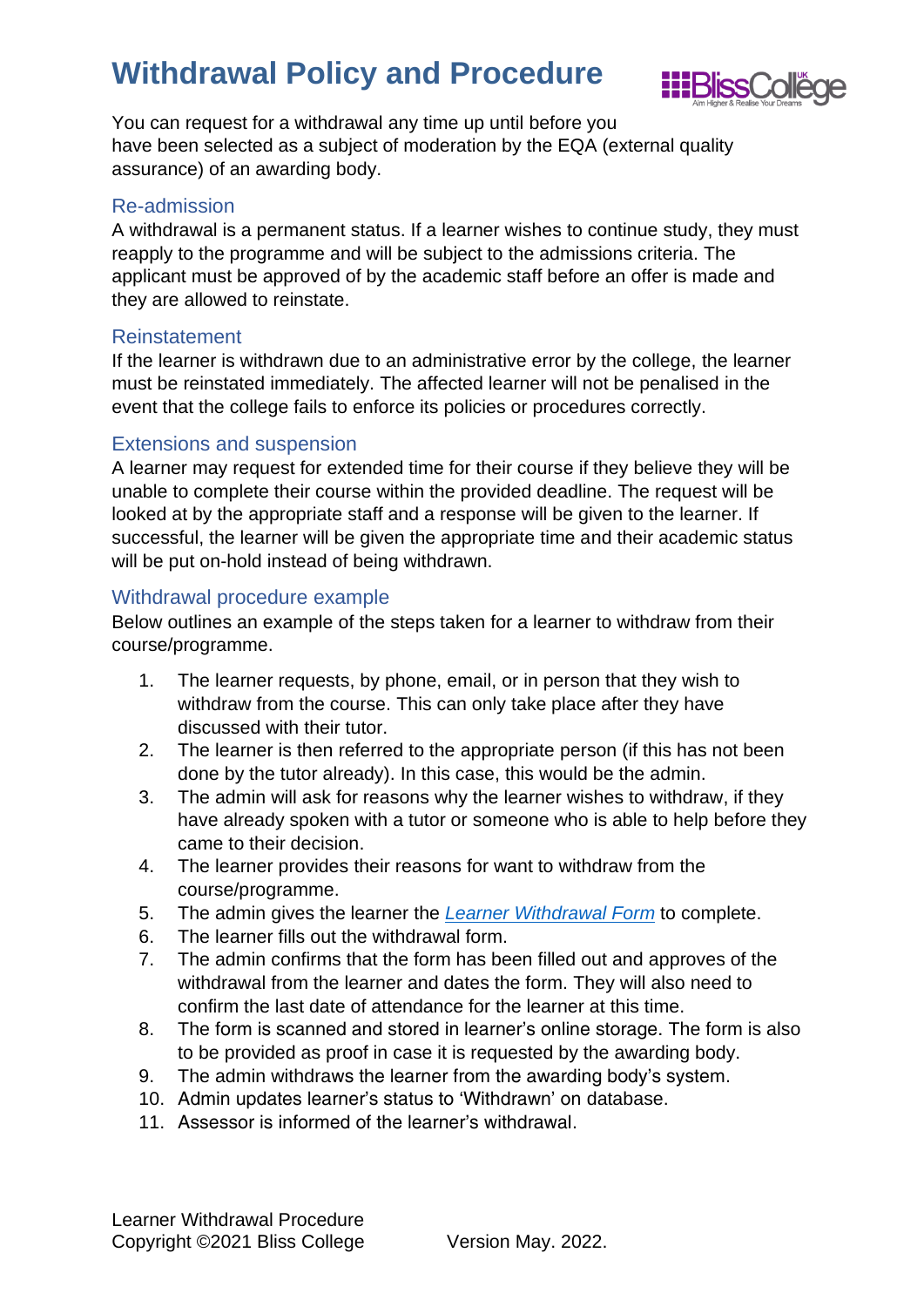

You can request for a withdrawal any time up until before you have been selected as a subject of moderation by the EQA (external quality assurance) of an awarding body.

#### <span id="page-3-0"></span>Re-admission

A withdrawal is a permanent status. If a learner wishes to continue study, they must reapply to the programme and will be subject to the admissions criteria. The applicant must be approved of by the academic staff before an offer is made and they are allowed to reinstate.

### <span id="page-3-1"></span>Reinstatement

If the learner is withdrawn due to an administrative error by the college, the learner must be reinstated immediately. The affected learner will not be penalised in the event that the college fails to enforce its policies or procedures correctly.

### <span id="page-3-2"></span>Extensions and suspension

A learner may request for extended time for their course if they believe they will be unable to complete their course within the provided deadline. The request will be looked at by the appropriate staff and a response will be given to the learner. If successful, the learner will be given the appropriate time and their academic status will be put on-hold instead of being withdrawn.

### <span id="page-3-3"></span>Withdrawal procedure example

Below outlines an example of the steps taken for a learner to withdraw from their course/programme.

- 1. The learner requests, by phone, email, or in person that they wish to withdraw from the course. This can only take place after they have discussed with their tutor.
- 2. The learner is then referred to the appropriate person (if this has not been done by the tutor already). In this case, this would be the admin.
- 3. The admin will ask for reasons why the learner wishes to withdraw, if they have already spoken with a tutor or someone who is able to help before they came to their decision.
- 4. The learner provides their reasons for want to withdraw from the course/programme.
- 5. The admin gives the learner the *Learner [Withdrawal Form](https://b9c39383-bbb9-48b5-8f3c-22d6aef5423d.filesusr.com/ugd/c46170_b134db71fa8848a7948122eb9d0388fb.docx?dn=Learner%20Withdrawal%20Form.docx)* to complete.
- 6. The learner fills out the withdrawal form.
- 7. The admin confirms that the form has been filled out and approves of the withdrawal from the learner and dates the form. They will also need to confirm the last date of attendance for the learner at this time.
- 8. The form is scanned and stored in learner's online storage. The form is also to be provided as proof in case it is requested by the awarding body.
- 9. The admin withdraws the learner from the awarding body's system.
- 10. Admin updates learner's status to 'Withdrawn' on database.
- 11. Assessor is informed of the learner's withdrawal.